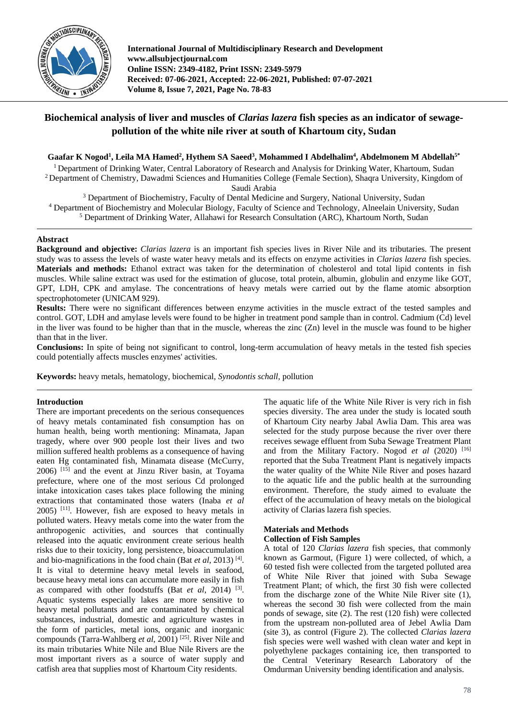

**International Journal of Multidisciplinary Research and Development www.allsubjectjournal.com Online ISSN: 2349-4182, Print ISSN: 2349-5979 Received: 07-06-2021, Accepted: 22-06-2021, Published: 07-07-2021 Volume 8, Issue 7, 2021, Page No. 78-83**

# **Biochemical analysis of liver and muscles of** *Clarias lazera* **fish species as an indicator of sewagepollution of the white nile river at south of Khartoum city, Sudan**

# **Gaafar K Nogod1 , Leila MA Hamed2 , Hythem SA Saeed3 , Mohammed I Abdelhalim4 , Abdelmonem M Abdellah5\***

<sup>1</sup> Department of Drinking Water, Central Laboratory of Research and Analysis for Drinking Water, Khartoum, Sudan <sup>2</sup> Department of Chemistry, Dawadmi Sciences and Humanities College (Female Section), Shaqra University, Kingdom of Saudi Arabia

<sup>3</sup> Department of Biochemistry, Faculty of Dental Medicine and Surgery, National University, Sudan <sup>4</sup> Department of Biochemistry and Molecular Biology, Faculty of Science and Technology, Alneelain University, Sudan <sup>5</sup> Department of Drinking Water, Allahawi for Research Consultation (ARC), Khartoum North, Sudan

# **Abstract**

**Background and objective:** *Clarias lazera* is an important fish species lives in River Nile and its tributaries. The present study was to assess the levels of waste water heavy metals and its effects on enzyme activities in *Clarias lazera* fish species. **Materials and methods:** Ethanol extract was taken for the determination of cholesterol and total lipid contents in fish muscles. While saline extract was used for the estimation of glucose, total protein, albumin, globulin and enzyme like GOT, GPT, LDH, CPK and amylase. The concentrations of heavy metals were carried out by the flame atomic absorption spectrophotometer (UNICAM 929).

**Results:** There were no significant differences between enzyme activities in the muscle extract of the tested samples and control. GOT, LDH and amylase levels were found to be higher in treatment pond sample than in control. Cadmium (Cd) level in the liver was found to be higher than that in the muscle, whereas the zinc (Zn) level in the muscle was found to be higher than that in the liver.

**Conclusions:** In spite of being not significant to control, long-term accumulation of heavy metals in the tested fish species could potentially affects muscles enzymes' activities.

**Keywords:** heavy metals, hematology, biochemical, *Synodontis schall,* pollution

# **Introduction**

There are important precedents on the serious consequences of heavy metals contaminated fish consumption has on human health, being worth mentioning: Minamata, Japan tragedy, where over 900 people lost their lives and two million suffered health problems as a consequence of having eaten Hg contaminated fish, Minamata disease (McCurry,  $2006$ )  $^{[15]}$  and the event at Jinzu River basin, at Toyama prefecture, where one of the most serious Cd prolonged intake intoxication cases takes place following the mining extractions that contaminated those waters (Inaba *et al* 2005) [11] . However, fish are exposed to heavy metals in polluted waters. Heavy metals come into the water from the anthropogenic activities, and sources that continually released into the aquatic environment create serious health risks due to their toxicity, long persistence, bioaccumulation and bio-magnifications in the food chain (Bat *et al*, 2013)<sup>[4]</sup>. It is vital to determine heavy metal levels in seafood, because heavy metal ions can accumulate more easily in fish as compared with other foodstuffs (Bat *et al*, 2014)<sup>[3]</sup>. Aquatic systems especially lakes are more sensitive to heavy metal pollutants and are contaminated by chemical substances, industrial, domestic and agriculture wastes in the form of particles, metal ions, organic and inorganic compounds (Tarra-Wahlberg *et al*, 2001)<sup>[25]</sup>. River Nile and its main tributaries White Nile and Blue Nile Rivers are the most important rivers as a source of water supply and catfish area that supplies most of Khartoum City residents.

The aquatic life of the White Nile River is very rich in fish species diversity. The area under the study is located south of Khartoum City nearby Jabal Awlia Dam. This area was selected for the study purpose because the river over there receives sewage effluent from Suba Sewage Treatment Plant and from the Military Factory. Nogod et al (2020) [16] reported that the Suba Treatment Plant is negatively impacts the water quality of the White Nile River and poses hazard to the aquatic life and the public health at the surrounding environment. Therefore, the study aimed to evaluate the effect of the accumulation of heavy metals on the biological activity of Clarias lazera fish species.

# **Materials and Methods**

# **Collection of Fish Samples**

A total of 120 *Clarias lazera* fish species, that commonly known as Garmout, (Figure 1) were collected, of which, a 60 tested fish were collected from the targeted polluted area of White Nile River that joined with Suba Sewage Treatment Plant; of which, the first 30 fish were collected from the discharge zone of the White Nile River site (1), whereas the second 30 fish were collected from the main ponds of sewage, site (2). The rest (120 fish) were collected from the upstream non-polluted area of Jebel Awlia Dam (site 3), as control (Figure 2). The collected *Clarias lazera* fish species were well washed with clean water and kept in polyethylene packages containing ice, then transported to the Central Veterinary Research Laboratory of the Omdurman University bending identification and analysis.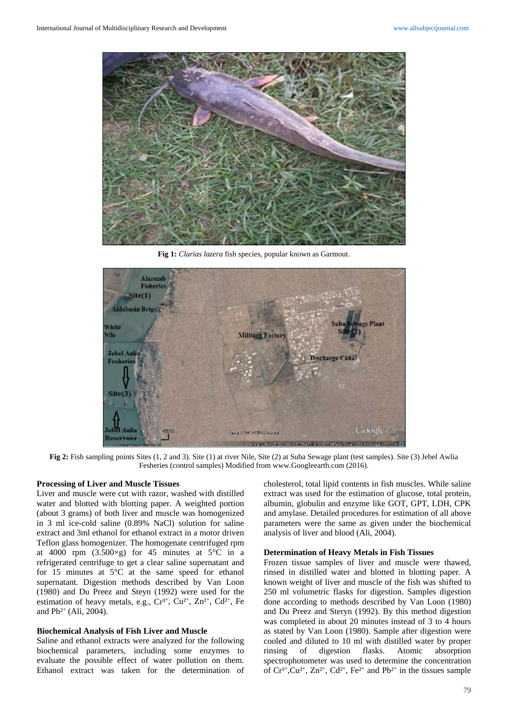

**Fig 1:** *Clarias lazera* fish species, popular known as Garmout.



**Fig 2:** Fish sampling points Sites (1, 2 and 3). Site (1) at river Nile, Site (2) at Suba Sewage plant (test samples). Site (3) Jebel Awlia Fesheries (control samples) Modified from www.Googleearth.com (2016).

#### **Processing of Liver and Muscle Tissues**

Liver and muscle were cut with razor, washed with distilled water and blotted with blotting paper. A weighted portion (about 3 grams) of both liver and muscle was homogenized in 3 ml ice-cold saline (0.89% NaCl) solution for saline extract and 3ml ethanol for ethanol extract in a motor driven Teflon glass homogenizer. The homogenate centrifuged rpm at 4000 rpm  $(3.500 \times g)$  for 45 minutes at  $5^{\circ}$ C in a refrigerated centrifuge to get a clear saline supernatant and for 15 minutes at 5°C at the same speed for ethanol supernatant. Digestion methods described by Van Loon (1980) and Du Preez and Steyn (1992) were used for the estimation of heavy metals, e.g.,  $Cr^{3+}$ ,  $Cu^{2+}$ ,  $Zn^{2+}$ ,  $Cd^{2+}$ , Fe and Pb<sup>2+</sup> (Ali, 2004).

#### **Biochemical Analysis of Fish Liver and Muscle**

Saline and ethanol extracts were analyzed for the following biochemical parameters, including some enzymes to evaluate the possible effect of water pollution on them. Ethanol extract was taken for the determination of cholesterol, total lipid contents in fish muscles. While saline extract was used for the estimation of glucose, total protein, albumin, globulin and enzyme like GOT, GPT, LDH, CPK and amylase. Detailed procedures for estimation of all above parameters were the same as given under the biochemical analysis of liver and blood (Ali, 2004).

#### **Determination of Heavy Metals in Fish Tissues**

Frozen tissue samples of liver and muscle were thawed, rinsed in distilled water and blotted in blotting paper. A known weight of liver and muscle of the fish was shifted to 250 ml volumetric flasks for digestion. Samples digestion done according to methods described by Van Loon (1980) and Du Preez and Steryn (1992). By this method digestion was completed in about 20 minutes instead of 3 to 4 hours as stated by Van Loon (1980). Sample after digestion were cooled and diluted to 10 ml with distilled water by proper rinsing of digestion flasks. Atomic absorption spectrophotometer was used to determine the concentration of  $Cr^{3+}$ ,  $Cu^{2+}$ ,  $Zn^{2+}$ ,  $Cd^{2+}$ ,  $Fe^{2+}$  and  $Pb^{2+}$  in the tissues sample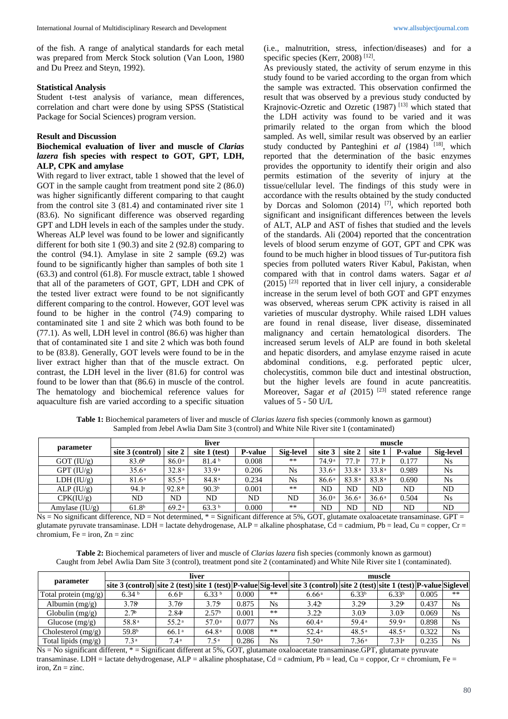of the fish. A range of analytical standards for each metal was prepared from Merck Stock solution (Van Loon, 1980 and Du Preez and Steyn, 1992).

#### **Statistical Analysis**

Student t-test analysis of variance, mean differences, correlation and chart were done by using SPSS (Statistical Package for Social Sciences) program version.

#### **Result and Discussion**

# **Biochemical evaluation of liver and muscle of** *Clarias lazera* **fish species with respect to GOT, GPT, LDH, ALP, CPK and amylase**

With regard to liver extract, table 1 showed that the level of GOT in the sample caught from treatment pond site 2 (86.0) was higher significantly different comparing to that caught from the control site 3 (81.4) and contaminated river site 1 (83.6). No significant difference was observed regarding GPT and LDH levels in each of the samples under the study. Whereas ALP level was found to be lower and significantly different for both site 1 (90.3) and site 2 (92.8) comparing to the control (94.1). Amylase in site 2 sample (69.2) was found to be significantly higher than samples of both site 1 (63.3) and control (61.8). For muscle extract, table 1 showed that all of the parameters of GOT, GPT, LDH and CPK of the tested liver extract were found to be not significantly different comparing to the control. However, GOT level was found to be higher in the control (74.9) comparing to contaminated site 1 and site 2 which was both found to be (77.1). As well, LDH level in control (86.6) was higher than that of contaminated site 1 and site 2 which was both found to be (83.8). Generally, GOT levels were found to be in the liver extract higher than that of the muscle extract. On contrast, the LDH level in the liver (81.6) for control was found to be lower than that (86.6) in muscle of the control. The hematology and biochemical reference values for aquaculture fish are varied according to a specific situation

(i.e., malnutrition, stress, infection/diseases) and for a specific species (Kerr, 2008)<sup>[12]</sup>.

As previously stated, the activity of serum enzyme in this study found to be varied according to the organ from which the sample was extracted. This observation confirmed the result that was observed by a previous study conducted by Krajnovic-Ozretic and Ozretic (1987) [13] which stated that the LDH activity was found to be varied and it was primarily related to the organ from which the blood sampled. As well, similar result was observed by an earlier study conducted by Panteghini et al (1984)<sup>[18]</sup>, which reported that the determination of the basic enzymes provides the opportunity to identify their origin and also permits estimation of the severity of injury at the tissue/cellular level. The findings of this study were in accordance with the results obtained by the study conducted by Dorcas and Solomon (2014)<sup>[7]</sup>, which reported both significant and insignificant differences between the levels of ALT, ALP and AST of fishes that studied and the levels of the standards. Ali (2004) reported that the concentration levels of blood serum enzyme of GOT, GPT and CPK was found to be much higher in blood tissues of Tur-putitora fish species from polluted waters River Kabul, Pakistan, when compared with that in control dams waters. Sagar *et al*  $(2015)$ <sup>[23]</sup> reported that in liver cell injury, a considerable increase in the serum level of both GOT and GPT enzymes was observed, whereas serum CPK activity is raised in all varieties of muscular dystrophy. While raised LDH values are found in renal disease, liver disease, disseminated malignancy and certain hematological disorders. The increased serum levels of ALP are found in both skeletal and hepatic disorders, and amylase enzyme raised in acute abdominal conditions, e.g. perforated peptic ulcer, cholecystitis, common bile duct and intestinal obstruction, but the higher levels are found in acute pancreatitis. Moreover, Sagar *et al* (2015)<sup>[23]</sup> stated reference range values of 5 - 50 U/L

**Table 1:** Biochemical parameters of liver and muscle of *Clarias lazera* fish species (commonly known as garmout) Sampled from Jebel Awlia Dam Site 3 (control) and White Nile River site 1 (contaminated)

| parameter        | liver             |                    |                   |                |           |                   | muscle            |                   |                |           |  |  |
|------------------|-------------------|--------------------|-------------------|----------------|-----------|-------------------|-------------------|-------------------|----------------|-----------|--|--|
|                  | site 3 (control)  | site 2             | site 1 (test)     | <b>P-value</b> | Sig-level | site 3            | site 2            | site 1            | <b>P-value</b> | Sig-level |  |  |
| $GOT$ (IU/g)     | 83.6 <sup>b</sup> | 86.0 <sup>a</sup>  | 81.4 <sup>b</sup> | 0.008          | **        | 74.9a             | 77.1 <sup>a</sup> | 77.1a             | 0.177          | Ns        |  |  |
| $GPT$ (IU/g)     | 35.6a             | 32.8 <sup>a</sup>  | 33.9 <sup>a</sup> | 0.206          | Ns        | 33.6 <sup>a</sup> | 33.8 <sup>a</sup> | 33.8 <sup>a</sup> | 0.989          | Ns        |  |  |
| LDH (IU/g)       | 81.6 <sup>a</sup> | 85.5 <sup>a</sup>  | 84.8 <sup>a</sup> | 0.234          | Ns        | 86.6a             | 83.8 <sup>a</sup> | 83.8 <sup>a</sup> | 0.690          | Ns        |  |  |
| ALP (IU/g)       | $94.1^{\circ}$    | 92.8 <sup>th</sup> | 90.3 <sup>b</sup> | 0.001          | $**$      | ND                | ND                | <b>ND</b>         | ND             | ND        |  |  |
| CPK(IU/g)        | ND                | ND                 | ND                | ND             | ND        | 36.0a             | 36.6a             | 36.6a             | 0.504          | <b>Ns</b> |  |  |
| Amylase $(IU/g)$ | 61.8 <sup>b</sup> | 69.2 <sup>a</sup>  | 63.3 <sup>b</sup> | 0.000          | $***$     | ND                | ND                | <b>ND</b>         | ND             | ND        |  |  |

Ns = No significant difference, ND = Not determined, \* = Significant difference at 5%, GOT, glutamate oxaloacetate transaminase. GPT = glutamate pyruvate transaminase. LDH = lactate dehydrogenase, ALP = alkaline phosphatase, Cd = cadmium, Pb = lead, Cu = copper, Cr = chromium,  $Fe = iron$ ,  $Zn = zinc$ 

**Table 2:** Biochemical parameters of liver and muscle of *Clarias lazera* fish species (commonly known as garmout) Caught from Jebel Awlia Dam Site 3 (control), treatment pond site 2 (contaminated) and White Nile River site 1 (contaminated).

| parameter            |                                                                                                                              |                     | liver             | muscle |           |                   |                     |                     |       |           |
|----------------------|------------------------------------------------------------------------------------------------------------------------------|---------------------|-------------------|--------|-----------|-------------------|---------------------|---------------------|-------|-----------|
|                      | site 3 (control) site 2 (test) site 1 (test) P-value Sig-level site 3 (control) site 2 (test) site 1 (test) P-value Siglevel |                     |                   |        |           |                   |                     |                     |       |           |
| Total protein (mg/g) | 6.34 <sup>b</sup>                                                                                                            | $6.61$ <sup>a</sup> | 6.33 <sup>b</sup> | 0.000  | $***$     | 6.66a             | 6.33 <sup>b</sup>   | 6.33 <sup>b</sup>   | 0.005 | $**$      |
| Albumin $(mg/g)$     | $3.78$ <sup>a</sup>                                                                                                          | $3.76^{\circ}$      | 3.75 <sup>a</sup> | 0.875  | <b>Ns</b> | $3.42^{\circ}$    | $3.29$ <sup>*</sup> | $3.29$ <sup>t</sup> | 0.437 | <b>Ns</b> |
| Globulin $(mg/g)$    | 2.7 <sup>b</sup>                                                                                                             | $2.84$ <sup>*</sup> | 2.57 <sup>b</sup> | 0.001  | $***$     | 3.22 <sup>a</sup> | 3.03 <sup>a</sup>   | 3.03 <sup>a</sup>   | 0.069 | <b>Ns</b> |
| Glucose $(mg/g)$     | 58.8ª                                                                                                                        | 55.2 <sup>a</sup>   | 57.0 <sup>a</sup> | 0.077  | <b>Ns</b> | 60.4a             | 59.4 <sup>a</sup>   | 59.9 <sup>a</sup>   | 0.898 | <b>Ns</b> |
| Cholesterol $(mg/g)$ | 59.8 <sup>b</sup>                                                                                                            | 66.1 <sup>a</sup>   | 64.8a             | 0.008  | $***$     | 52.4a             | 48.5 <sup>a</sup>   | 48.5 <sup>a</sup>   | 0.322 | <b>Ns</b> |
| Total lipids (mg/g)  | 7.3 <sup>a</sup>                                                                                                             | 7.4a                | 7.5 <sup>a</sup>  | 0.286  | <b>Ns</b> | 7.50 <sup>a</sup> | 7.36a               | 7.31a               | 0.235 | <b>Ns</b> |

Ns = No significant different, \* = Significant different at 5%, GOT, glutamate oxaloacetate transaminase.GPT, glutamate pyruvate transaminase. LDH = lactate dehydrogenase, ALP = alkaline phosphatase, Cd = cadmium, Pb = lead, Cu = coppor, Cr = chromium, Fe = iron,  $Zn =$ zinc.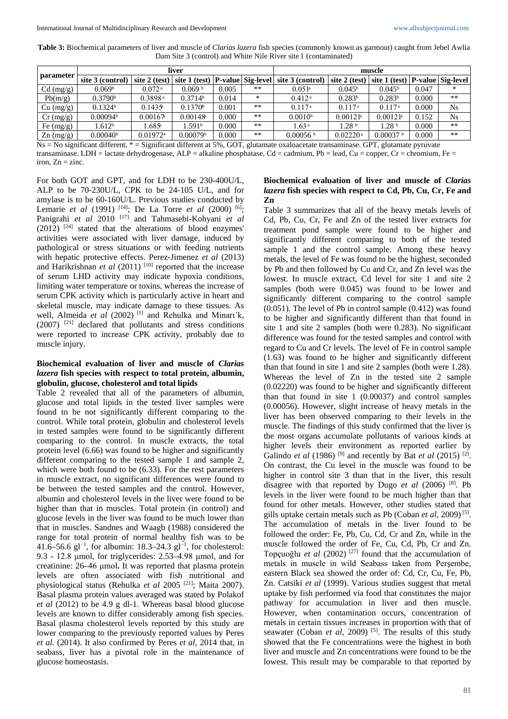**Table 3:** Biochemical parameters of liver and muscle of *Clarias lazera* fish species (commonly known as garmout) caught from Jebel Awlia Dam Site 3 (control) and White Nile River site 1 (contaminated)

| parameter          |                      |                        | liver                          | muscle |                          |                      |                        |                        |       |                          |
|--------------------|----------------------|------------------------|--------------------------------|--------|--------------------------|----------------------|------------------------|------------------------|-------|--------------------------|
|                    | site 3 (control)     | site 2 (test)          | $\left  \right $ site 1 (test) |        | <b>P-value Sig-level</b> | site 3 (control)     | site 2 (test)          | site 1 (test)          |       | <b>P-value Sig-level</b> |
| Cd (mg/g)          | 0.069 <sup>b</sup>   | 0.072a                 | 0.069 <sup>b</sup>             | 0.005  | $***$                    | $0.051$ <sup>a</sup> | $0.045^{\rm b}$        | $0.045^{\rm b}$        | 0.047 | $*$                      |
| Pb(m/g)            | 0.3790 <sup>b</sup>  | 0.3898a                | 0.3714 <sup>b</sup>            | 0.014  | $*$                      | 0.412 <sup>a</sup>   | 0.283 <sup>b</sup>     | 0.283 <sup>b</sup>     | 0.000 | $***$                    |
| Cu (mg/g)          | 0.1324 <sup>b</sup>  | $0.1435$ <sup>a</sup>  | 0.1370 <sup>b</sup>            | 0.001  | $***$                    | 0.117 <sup>a</sup>   | 0.117 <sup>a</sup>     | $0.117^{\rm a}$        | 0.000 | Ns                       |
| $Cr \, (mg/g)$     | 0.00094 <sup>b</sup> | 0.00167                | $0.00148$ <sup>a</sup>         | 0.000  | $***$                    | 0.0010 <sup>b</sup>  | $0.00121$ <sup>a</sup> | $0.00121$ <sup>a</sup> | 0.152 | <b>Ns</b>                |
| Fe $(mg/g)$        | .612 <sup>b</sup>    | .685 <sup>a</sup>      | 0.591 <sup>b</sup>             | 0.000  | $***$                    | .63 <sup>a</sup>     | .28 <sup>b</sup>       | 1.28 <sup>b</sup>      | 0.000 | $**$                     |
| $\text{Zn}$ (mg/g) | 0.00040 <sup>b</sup> | $0.01972$ <sup>a</sup> | 0.00079 <sup>b</sup>           | 0.000  | $***$                    | $0.00056$ b          | 0.02220a               | 0.00037 <sup>b</sup>   | 0.000 | $***$                    |

Ns = No significant different, \* = Significant different at 5%, GOT, glutamate oxaloacetate transaminase. GPT, glutamate pyruvate transaminase. LDH = lactate dehydrogenase, ALP = alkaline phosphatase, Cd = cadmium, Pb = lead, Cu = copper, Cr = chromium, Fe = iron,  $Zn =$ zinc.

For both GOT and GPT, and for LDH to be 230-400U/L, ALP to be 70-230U/L, CPK to be 24-105 U/L, and for amylase is to be 60-160U/L. Previous studies conducted by Lemarie *et al* (1991)<sup>[14]</sup>; De La Torre *et al* (2000)<sup>[6]</sup>; Panigrahi *et al* 2010 [17] and Tahmasebi-Kohyani *et al*  $(2012)$ <sup>[24]</sup> stated that the alterations of blood enzymes' activities were associated with liver damage, induced by pathological or stress situations or with feeding nutrients with hepatic protective effects. Perez-Jimenez *et al* (2013) and Harikrishnan *et al* (2011)<sup>[10]</sup> reported that the increase of serum LHD activity may indicate hypoxia conditions, limiting water temperature or toxins, whereas the increase of serum CPK activity which is particularly active in heart and skeletal muscle, may indicate damage to these tissues. As well, Almeida *et al* (2002)<sup>[1]</sup> and Rehulka and Minari<sup>k</sup>, (2007) [21] declared that pollutants and stress conditions were reported to increase CPK activity, probably due to muscle injury.

#### **Biochemical evaluation of liver and muscle of** *Clarias lazera* **fish species with respect to total protein, albumin, globulin, glucose, cholesterol and total lipids**

Table 2 revealed that all of the parameters of albumin, glucose and total lipids in the tested liver samples were found to be not significantly different comparing to the control. While total protein, globulin and cholesterol levels in tested samples were found to be significantly different comparing to the control. In muscle extracts, the total protein level (6.66) was found to be higher and significantly different comparing to the tested sample 1 and sample 2, which were both found to be (6.33). For the rest parameters in muscle extract, no significant differences were found to be between the tested samples and the control. However, albumin and cholesterol levels in the liver were found to be higher than that in muscles. Total protein (in control) and glucose levels in the liver was found to be much lower than that in muscles. Sandnes and Waagb (1988) considered the range for total protein of normal healthy fish was to be 41.6–56.6 gl<sup>−</sup><sup>1</sup> , for albumin: 18.3–24.3 gl<sup>−</sup><sup>1</sup> , for cholesterol: 9.3 - 12.8 μmol, for triglycerides: 2.53–4.98 μmol, and for creatinine: 26–46 μmol**.** It was reported that plasma protein levels are often associated with fish nutritional and physiological status (Rehulka *et al* 2005 [21] ; Maita 2007). Basal plasma protein values averaged was stated by Polakof *et al* (2012) to be 4.9 g dl-1. Whereas basal blood glucose levels are known to differ considerably among fish species. Basal plasma cholesterol levels reported by this study are lower comparing to the previously reported values by Peres *et al.* (2014). It also confirmed by Peres *et al*, 2014 that, in seabass, liver has a pivotal role in the maintenance of glucose homeostasis.

# **Biochemical evaluation of liver and muscle of** *Clarias lazera* **fish species with respect to Cd, Pb, Cu, Cr, Fe and Zn**

Table 3 summarizes that all of the heavy metals levels of Cd, Pb, Cu, Cr, Fe and Zn of the tested liver extracts for treatment pond sample were found to be higher and significantly different comparing to both of the tested sample 1 and the control sample. Among these heavy metals, the level of Fe was found to be the highest, seconded by Pb and then followed by Cu and Cr, and Zn level was the lowest. In muscle extract, Cd level for site 1 and site 2 samples (both were 0.045) was found to be lower and significantly different comparing to the control sample (0.051). The level of Pb in control sample (0.412) was found to be higher and significantly different than that found in site 1 and site 2 samples (both were 0.283). No significant difference was found for the tested samples and control with regard to Cu and Cr levels. The level of Fe in control sample (1.63) was found to be higher and significantly different than that found in site 1 and site 2 samples (both were 1.28). Whereas the level of Zn in the tested site 2 sample (0.02220) was found to be higher and significantly different than that found in site 1 (0.00037) and control samples (0.00056). However, slight increase of heavy metals in the liver has been observed comparing to their levels in the muscle. The findings of this study confirmed that the liver is the most organs accumulate pollutants of various kinds at higher levels their environment as reported earlier by Galindo *et al* (1986)<sup>[9]</sup> and recently by Bat *et al* (2015)<sup>[2]</sup>. On contrast, the Cu level in the muscle was found to be higher in control site 3 than that in the liver, this result disagree with that reported by Dugo *et al* (2006) [8] . Pb levels in the liver were found to be much higher than that found for other metals. However, other studies stated that gills uptake certain metals such as Pb (Coban *et al*, 2009) [5] . The accumulation of metals in the liver found to be followed the order: Fe, Pb, Cu, Cd, Cr and Zn, while in the muscle followed the order of Fe, Cu, Cd, Pb, Cr and Zn. Topçuoğlu *et al* (2002) [27] found that the accumulation of metals in muscle in wild Seabass taken from Perşembe, eastern Black sea showed the order of: Cd, Cr, Cu, Fe, Pb, Zn. Catsiki *et al* (1999). Various studies suggest that metal uptake by fish performed via food that constitutes the major pathway for accumulation in liver and then muscle. However, when contamination occurs, concentration of metals in certain tissues increases in proportion with that of seawater (Coban *et al*, 2009)<sup>[5]</sup>. The results of this study showed that the Fe concentrations were the highest in both liver and muscle and Zn concentrations were found to be the lowest. This result may be comparable to that reported by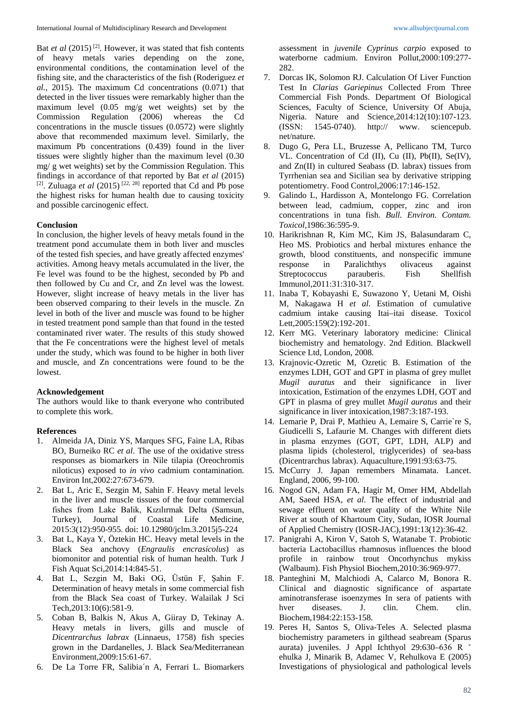Bat *et al* (2015)<sup>[2]</sup>. However, it was stated that fish contents of heavy metals varies depending on the zone, environmental conditions, the contamination level of the fishing site, and the characteristics of the fish (Roderiguez *et al.*, 2015). The maximum Cd concentrations (0.071) that detected in the liver tissues were remarkably higher than the maximum level (0.05 mg/g wet weights) set by the Commission Regulation (2006) whereas the Cd concentrations in the muscle tissues (0.0572) were slightly above that recommended maximum level. Similarly, the maximum Pb concentrations (0.439) found in the liver tissues were slightly higher than the maximum level (0.30 mg/ g wet weights) set by the Commission Regulation. This findings in accordance of that reported by Bat *et al* (2015)  $^{[2]}$ . Zuluaga *et al* (2015)<sup>[22, 28]</sup> reported that Cd and Pb pose the highest risks for human health due to causing toxicity and possible carcinogenic effect.

# **Conclusion**

In conclusion, the higher levels of heavy metals found in the treatment pond accumulate them in both liver and muscles of the tested fish species, and have greatly affected enzymes' activities. Among heavy metals accumulated in the liver, the Fe level was found to be the highest, seconded by Pb and then followed by Cu and Cr, and Zn level was the lowest. However, slight increase of heavy metals in the liver has been observed comparing to their levels in the muscle. Zn level in both of the liver and muscle was found to be higher in tested treatment pond sample than that found in the tested contaminated river water. The results of this study showed that the Fe concentrations were the highest level of metals under the study, which was found to be higher in both liver and muscle, and Zn concentrations were found to be the lowest.

#### **Acknowledgement**

The authors would like to thank everyone who contributed to complete this work.

#### **References**

- 1. Almeida JA, Diniz YS, Marques SFG, Faine LA, Ribas BO, Burneiko RC *et al*. The use of the oxidative stress responses as biomarkers in Nile tilapia (Oreochromis niloticus) exposed to *in vivo* cadmium contamination. Environ Int,2002:27:673-679.
- 2. Bat L, Aric E, Sezgin M, Sahin F. Heavy metal levels in the liver and muscle tissues of the four commercial fishes from Lake Balik, Kızılırmak Delta (Samsun, Turkey), Journal of Coastal Life Medicine, 2015:3(12):950-955. doi: 10.12980/jclm.3.2015j5-224
- 3. Bat L, Kaya Y, Öztekin HC. Heavy metal levels in the Black Sea anchovy (*Engraulis encrasicolus*) as biomonitor and potential risk of human health. Turk J Fish Aquat Sci,2014:14:845-51.
- 4. Bat L, Sezgin M, Baki OG, Üstün F, Şahin F. Determination of heavy metals in some commercial fish from the Black Sea coast of Turkey. Walailak J Sci Tech*,*2013:10(6):581-9.
- 5. Coban B, Balkis N, Akus A, Giiray D, Tekinay A. Heavy metals in livers, gills and muscle of *Dicentrarchus labrax* (Linnaeus, 1758) fish species grown in the Dardanelles, J. Black Sea/Mediterranean Environment,2009:15:61-67.
- 6. De La Torre FR, Salibia´n A, Ferrari L. Biomarkers

assessment in *juvenile Cyprinus carpio* exposed to waterborne cadmium. Environ Pollut,2000:109:277- 282.

- 7. Dorcas IK, Solomon RJ. Calculation Of Liver Function Test In *Clarias Gariepinus* Collected From Three Commercial Fish Ponds. Department Of Biological Sciences, Faculty of Science, University Of Abuja, Nigeria. Nature and Science,2014:12(10):107-123. (ISSN: 1545-0740). http:// www. sciencepub. net/nature.
- 8. Dugo G, Pera LL, Bruzesse A, Pellicano TM, Turco VL. Concentration of Cd (II), Cu (II), Pb(II), Se(IV), and Zn(II) in cultured Seabass (D. labrax) tissues from Tyrrhenian sea and Sicilian sea by derivative stripping potentiometry. Food Control,2006:17:146-152.
- 9. Galindo L, Hardisson A, Montelongo FG. Correlation between lead, cadmium, copper, zinc and iron concentrations in tuna fish. *Bull. Environ. Contam. Toxicol,*1986:36:595-9.
- 10. Harikrishnan R, Kim MC, Kim JS, Balasundaram C, Heo MS. Probiotics and herbal mixtures enhance the growth, blood constituents, and nonspecific immune response in Paralichthys olivaceus against Streptococcus parauberis. Fish Shellfish Immunol,2011:31:310-317.
- 11. Inaba T, Kobayashi E, Suwazono Y, Uetani M, Oishi M, Nakagawa H *et al*. Estimation of cumulative cadmium intake causing Itai–itai disease. Toxicol Lett,2005:159(2):192-201.
- 12. Kerr MG. Veterinary laboratory medicine: Clinical biochemistry and hematology. 2nd Edition. Blackwell Science Ltd, London, 2008.
- 13. Krajnovic-Ozretic M, Ozretic B. Estimation of the enzymes LDH, GOT and GPT in plasma of grey mullet *Mugil auratus* and their significance in liver intoxication, Estimation of the enzymes LDH, GOT and GPT in plasma of grey mullet *Mugil auratus* and their significance in liver intoxication,1987:3:187-193.
- 14. Lemarie P, Drai P, Mathieu A, Lemaire S, Carrie`re S, Giudicelli S, Lafaurie M. Changes with different diets in plasma enzymes (GOT, GPT, LDH, ALP) and plasma lipids (cholesterol, triglycerides) of sea-bass (Dicentrarchus labrax). Aquaculture,1991:93:63-75.
- 15. McCurry J. Japan remembers Minamata. Lancet. England, 2006, 99-100.
- 16. Nogod GN, Adam FA, Hagir M, Omer HM, Abdellah AM, Saeed HSA, *et al*. The effect of industrial and sewage effluent on water quality of the White Nile River at south of Khartoum City, Sudan, IOSR Journal of Applied Chemistry (IOSR-JAC),1991:13(12):36-42.
- 17. Panigrahi A, Kiron V, Satoh S, Watanabe T. Probiotic bacteria Lactobacillus rhamnosus influences the blood profile in rainbow trout Oncorhynchus mykiss (Walbaum). Fish Physiol Biochem,2010:36:969-977.
- 18. Panteghini M, Malchiodi A, Calarco M, Bonora R. Clinical and diagnostic significance of aspartate aminotransferase isoenzymes In sera of patients with hver diseases. J. clin. Chem. clin. Biochem,1984:22:153-158.
- 19. Peres H, Santos S, Oliva-Teles A. Selected plasma biochemistry parameters in gilthead seabream (Sparus aurata) juveniles. J Appl Ichthyol 29:630–636 R ˇ ehulka J, Minarik B, Adamec V, Rehulkova E (2005) Investigations of physiological and pathological levels